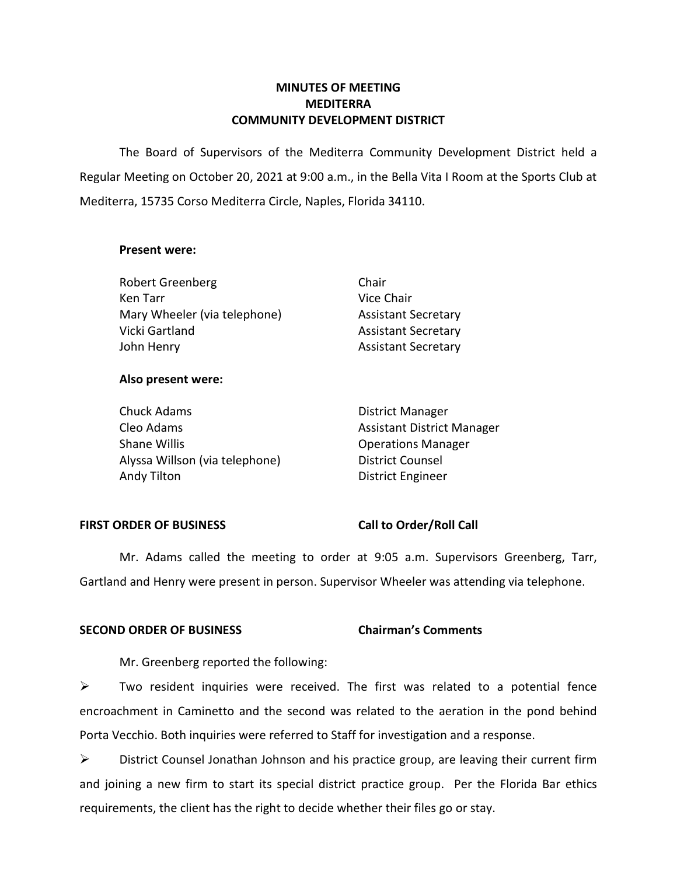# **MINUTES OF MEETING MEDITERRA COMMUNITY DEVELOPMENT DISTRICT**

 The Board of Supervisors of the Mediterra Community Development District held a Regular Meeting on October 20, 2021 at 9:00 a.m., in the Bella Vita I Room at the Sports Club at Mediterra, 15735 Corso Mediterra Circle, Naples, Florida 34110.

#### **Present were:**

| <b>Robert Greenberg</b>      | Chair                      |
|------------------------------|----------------------------|
| Ken Tarr                     | Vice Chair                 |
| Mary Wheeler (via telephone) | <b>Assistant Secretary</b> |
| Vicki Gartland               | <b>Assistant Secretary</b> |
| John Henry                   | <b>Assistant Secretary</b> |

### **Also present were:**

| <b>Chuck Adams</b>             | <b>District Manager</b>           |
|--------------------------------|-----------------------------------|
| Cleo Adams                     | <b>Assistant District Manager</b> |
| Shane Willis                   | <b>Operations Manager</b>         |
| Alyssa Willson (via telephone) | <b>District Counsel</b>           |
| Andy Tilton                    | <b>District Engineer</b>          |

### **FIRST ORDER OF BUSINESS Call to Order/Roll Call**

 Mr. Adams called the meeting to order at 9:05 a.m. Supervisors Greenberg, Tarr, Gartland and Henry were present in person. Supervisor Wheeler was attending via telephone.

#### **Chairman's Comments SECOND ORDER OF BUSINESS Chairman's Comments**

Mr. Greenberg reported the following:

 $\triangleright$  Two resident inquiries were received. The first was related to a potential fence encroachment in Caminetto and the second was related to the aeration in the pond behind Porta Vecchio. Both inquiries were referred to Staff for investigation and a response.

 ➢ District Counsel Jonathan Johnson and his practice group, are leaving their current firm and joining a new firm to start its special district practice group. Per the Florida Bar ethics requirements, the client has the right to decide whether their files go or stay.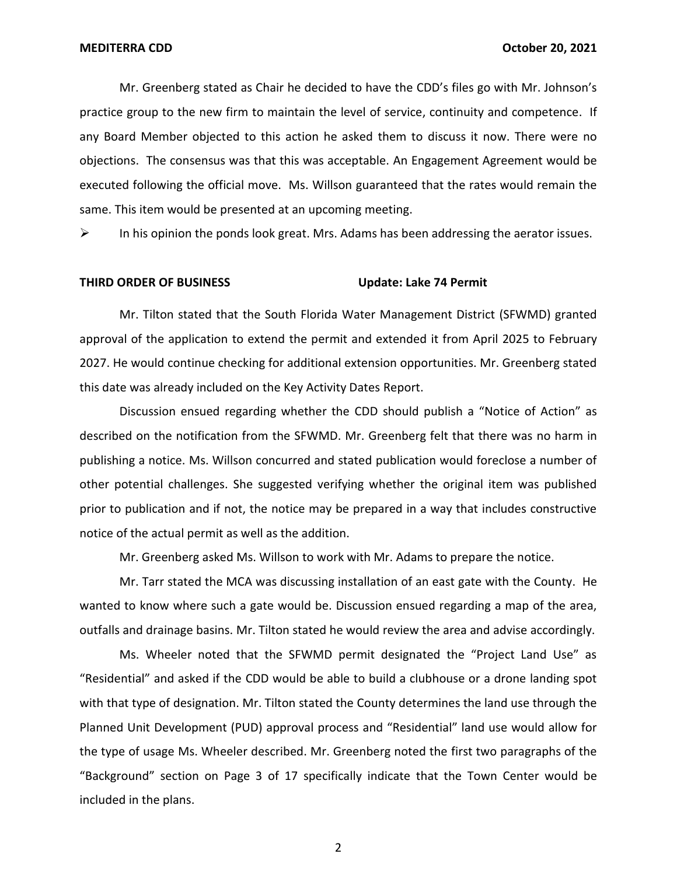Mr. Greenberg stated as Chair he decided to have the CDD's files go with Mr. Johnson's practice group to the new firm to maintain the level of service, continuity and competence. If any Board Member objected to this action he asked them to discuss it now. There were no objections. The consensus was that this was acceptable. An Engagement Agreement would be executed following the official move. Ms. Willson guaranteed that the rates would remain the same. This item would be presented at an upcoming meeting.

 $\triangleright$  In his opinion the ponds look great. Mrs. Adams has been addressing the aerator issues.

#### **Update: Lake 74 Permit THIRD ORDER OF BUSINESS**

 Mr. Tilton stated that the South Florida Water Management District (SFWMD) granted approval of the application to extend the permit and extended it from April 2025 to February 2027. He would continue checking for additional extension opportunities. Mr. Greenberg stated this date was already included on the Key Activity Dates Report.

 Discussion ensued regarding whether the CDD should publish a "Notice of Action" as described on the notification from the SFWMD. Mr. Greenberg felt that there was no harm in publishing a notice. Ms. Willson concurred and stated publication would foreclose a number of other potential challenges. She suggested verifying whether the original item was published prior to publication and if not, the notice may be prepared in a way that includes constructive notice of the actual permit as well as the addition. **MEDITERRA CDD**<br>
Mr. Greenberg stated as Chair he decided to have the CDD's fliis go with Mr. Johnson's<br>
practice group to the new firm to maintain the level of service, continuity and competence. If<br>
any Board Member obje

Mr. Greenberg asked Ms. Willson to work with Mr. Adams to prepare the notice.

 Mr. Tarr stated the MCA was discussing installation of an east gate with the County. He wanted to know where such a gate would be. Discussion ensued regarding a map of the area, outfalls and drainage basins. Mr. Tilton stated he would review the area and advise accordingly.

 Ms. Wheeler noted that the SFWMD permit designated the "Project Land Use" as "Residential" and asked if the CDD would be able to build a clubhouse or a drone landing spot Planned Unit Development (PUD) approval process and "Residential" land use would allow for the type of usage Ms. Wheeler described. Mr. Greenberg noted the first two paragraphs of the "Background" section on Page 3 of 17 specifically indicate that the Town Center would be included in the plans. Wheeler noted that the SFWMD permit designated the<br>Il" and asked if the CDD would be able to build a clubhouse<br>Ippe of designation. Mr. Tilton stated the County determines<br>Interpretic public performance of the County deter with that type of designation. Mr. Tilton stated the County determines the land use through the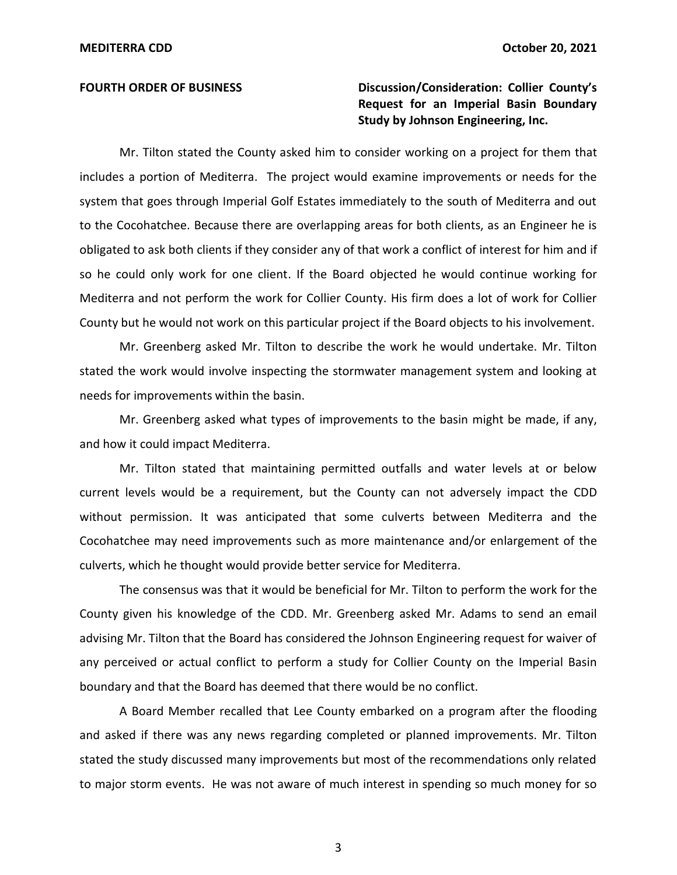# **MEDITERRA CDD October 20, 2021 FOURTH ORDER OF BUSINESS Discussion/Consideration: Collier County's Request for an Imperial Basin Boundary Study by Johnson Engineering, Inc.**

 Mr. Tilton stated the County asked him to consider working on a project for them that includes a portion of Mediterra. The project would examine improvements or needs for the system that goes through Imperial Golf Estates immediately to the south of Mediterra and out to the Cocohatchee. Because there are overlapping areas for both clients, as an Engineer he is obligated to ask both clients if they consider any of that work a conflict of interest for him and if so he could only work for one client. If the Board objected he would continue working for Mediterra and not perform the work for Collier County. His firm does a lot of work for Collier County but he would not work on this particular project if the Board objects to his involvement.

 Mr. Greenberg asked Mr. Tilton to describe the work he would undertake. Mr. Tilton stated the work would involve inspecting the stormwater management system and looking at needs for improvements within the basin.

 Mr. Greenberg asked what types of improvements to the basin might be made, if any, and how it could impact Mediterra.

 Mr. Tilton stated that maintaining permitted outfalls and water levels at or below current levels would be a requirement, but the County can not adversely impact the CDD without permission. It was anticipated that some culverts between Mediterra and the Cocohatchee may need improvements such as more maintenance and/or enlargement of the culverts, which he thought would provide better service for Mediterra.

 The consensus was that it would be beneficial for Mr. Tilton to perform the work for the County given his knowledge of the CDD. Mr. Greenberg asked Mr. Adams to send an email advising Mr. Tilton that the Board has considered the Johnson Engineering request for waiver of any perceived or actual conflict to perform a study for Collier County on the Imperial Basin boundary and that the Board has deemed that there would be no conflict.

 A Board Member recalled that Lee County embarked on a program after the flooding and asked if there was any news regarding completed or planned improvements. Mr. Tilton stated the study discussed many improvements but most of the recommendations only related to major storm events. He was not aware of much interest in spending so much money for so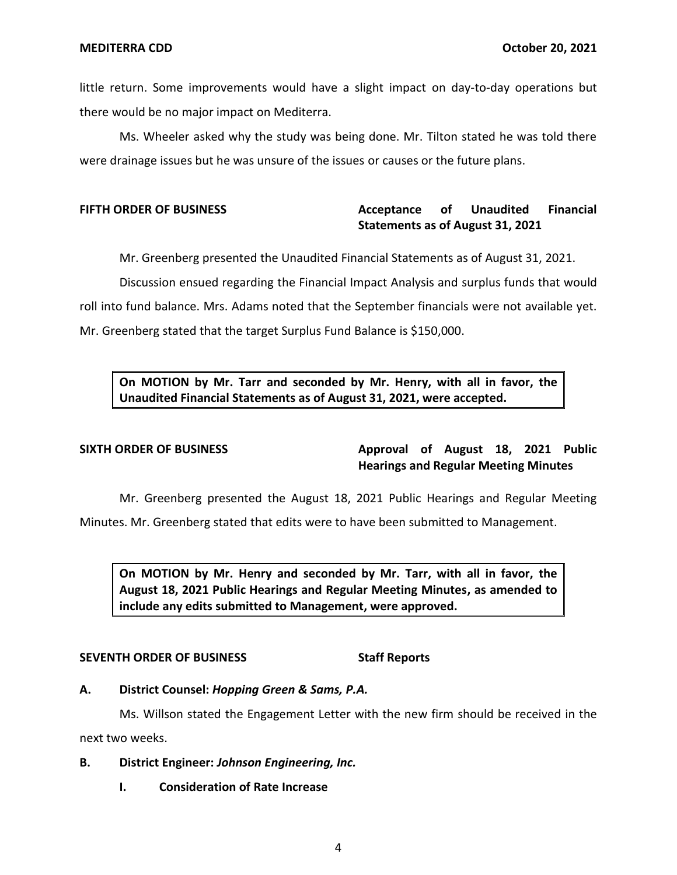little return. Some improvements would have a slight impact on day-to-day operations but there would be no major impact on Mediterra.

 Ms. Wheeler asked why the study was being done. Mr. Tilton stated he was told there were drainage issues but he was unsure of the issues or causes or the future plans.

#### **Acceptance Statements as of August 31, 2021 FIFTH ORDER OF BUSINESS CONSUMING Acceptance of Unaudited Financial**

Mr. Greenberg presented the Unaudited Financial Statements as of August 31, 2021.

 Discussion ensued regarding the Financial Impact Analysis and surplus funds that would roll into fund balance. Mrs. Adams noted that the September financials were not available yet. Mr. Greenberg stated that the target Surplus Fund Balance is \$150,000.

 **On MOTION by Mr. Tarr and seconded by Mr. Henry, with all in favor, the Unaudited Financial Statements as of August 31, 2021, were accepted.** 

SIXTH ORDER OF BUSINESS **Approval of August 18, 2021 Public Hearings and Regular Meeting Minutes** 

Mr. Greenberg presented the August 18, 2021 Public Hearings and Regular Meeting

Minutes. Mr. Greenberg stated that edits were to have been submitted to Management.

 **On MOTION by Mr. Henry and seconded by Mr. Tarr, with all in favor, the August 18, 2021 Public Hearings and Regular Meeting Minutes, as amended to include any edits submitted to Management, were approved.** 

### **SEVENTH ORDER OF BUSINESS** Staff Reports

### **A. District Counsel:** *Hopping Green & Sams, P.A.*

 Ms. Willson stated the Engagement Letter with the new firm should be received in the next two weeks.

# **B. District Engineer:** *Johnson Engineering, Inc.*

 **I. Consideration of Rate Increase**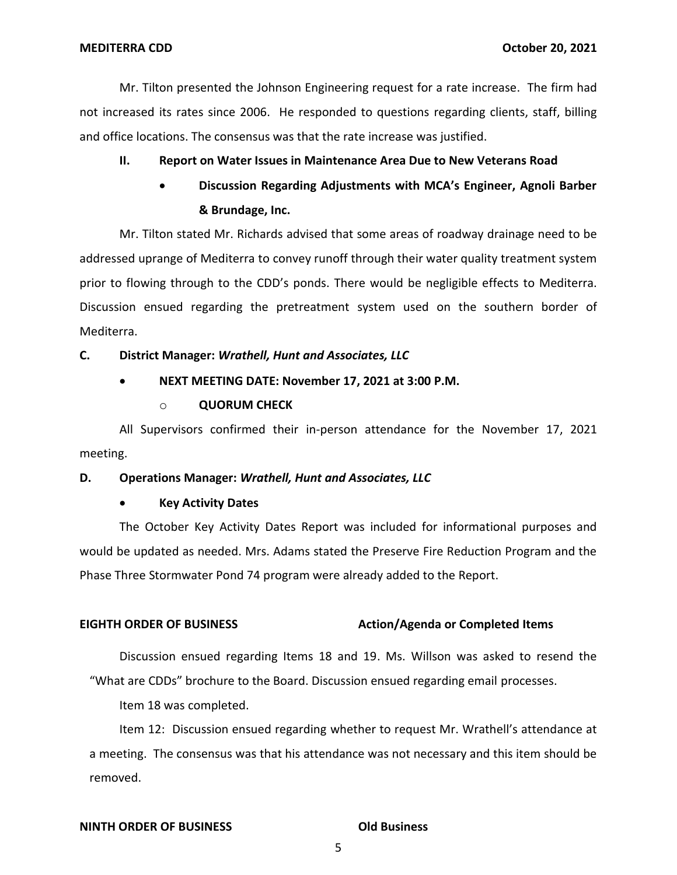Mr. Tilton presented the Johnson Engineering request for a rate increase. The firm had not increased its rates since 2006. He responded to questions regarding clients, staff, billing and office locations. The consensus was that the rate increase was justified.

# **II. Report on Water Issues in Maintenance Area Due to New Veterans Road**

 • **Discussion Regarding Adjustments with MCA's Engineer, Agnoli Barber & Brundage, Inc.** 

 Mr. Tilton stated Mr. Richards advised that some areas of roadway drainage need to be addressed uprange of Mediterra to convey runoff through their water quality treatment system prior to flowing through to the CDD's ponds. There would be negligible effects to Mediterra. Discussion ensued regarding the pretreatment system used on the southern border of **MEDITERRA CDD**<br>
Mr. Tliton presented the Johnson Engineering request for a rate increase. The firm had<br>
not increased its rates since 2006. He responded to questions regarding clients, staff, billing<br>
and office locations Mediterra.

# **C. District Manager:** *Wrathell, Hunt and Associates, LLC*

# • **NEXT MEETING DATE: November 17, 2021 at 3:00 P.M.**

### o **QUORUM CHECK**

 All Supervisors confirmed their in-person attendance for the November 17, 2021 meeting.

### **D. Operations Manager:** *Wrathell, Hunt and Associates, LLC*

### • **Key Activity Dates**

 The October Key Activity Dates Report was included for informational purposes and would be updated as needed. Mrs. Adams stated the Preserve Fire Reduction Program and the Phase Three Stormwater Pond 74 program were already added to the Report.

## **EIGHTH ORDER OF BUSINESS** Action/Agenda or Completed Items

 Discussion ensued regarding Items 18 and 19. Ms. Willson was asked to resend the "What are CDDs" brochure to the Board. Discussion ensued regarding email processes.

Item 18 was completed.

 Item 12: Discussion ensued regarding whether to request Mr. Wrathell's attendance at a meeting. The consensus was that his attendance was not necessary and this item should be removed.

#### **NINTH ORDER OF BUSINESS COMPUTER ORDER OF BUSINESS**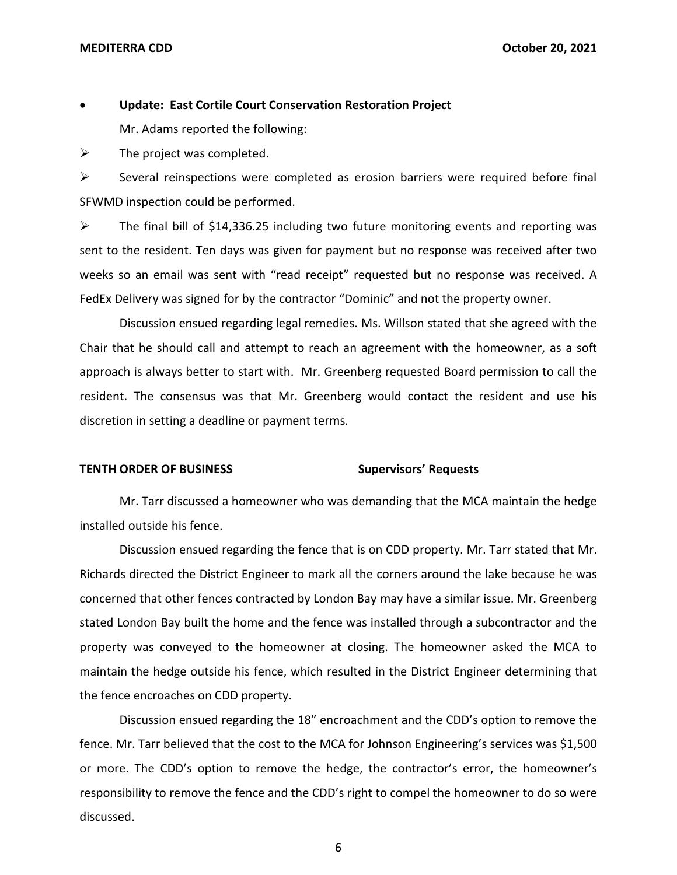## • **Update: East Cortile Court Conservation Restoration Project**

Mr. Adams reported the following:

 $\triangleright$  The project was completed.

 ➢ Several reinspections were completed as erosion barriers were required before final SFWMD inspection could be performed.

 $\triangleright$  The final bill of \$[14,336.25](https://14,336.25) including two future monitoring events and reporting was sent to the resident. Ten days was given for payment but no response was received after two weeks so an email was sent with "read receipt" requested but no response was received. A FedEx Delivery was signed for by the contractor "Dominic" and not the property owner.

 Discussion ensued regarding legal remedies. Ms. Willson stated that she agreed with the Chair that he should call and attempt to reach an agreement with the homeowner, as a soft resident. The consensus was that Mr. Greenberg would contact the resident and use his discretion in setting a deadline or payment terms. approach is always better to start with. Mr. Greenberg requested Board permission to call the

#### **Supervisors' Requests TENTH ORDER OF BUSINESS**

 Mr. Tarr discussed a homeowner who was demanding that the MCA maintain the hedge installed outside his fence.

 Discussion ensued regarding the fence that is on CDD property. Mr. Tarr stated that Mr. Richards directed the District Engineer to mark all the corners around the lake because he was concerned that other fences contracted by London Bay may have a similar issue. Mr. Greenberg stated London Bay built the home and the fence was installed through a subcontractor and the property was conveyed to the homeowner at closing. The homeowner asked the MCA to the fence encroaches on CDD property. maintain the hedge outside his fence, which resulted in the District Engineer determining that

 Discussion ensued regarding the 18" encroachment and the CDD's option to remove the fence. Mr. Tarr believed that the cost to the MCA for Johnson Engineering's services was \$1,500 or more. The CDD's option to remove the hedge, the contractor's error, the homeowner's responsibility to remove the fence and the CDD's right to compel the homeowner to do so were discussed.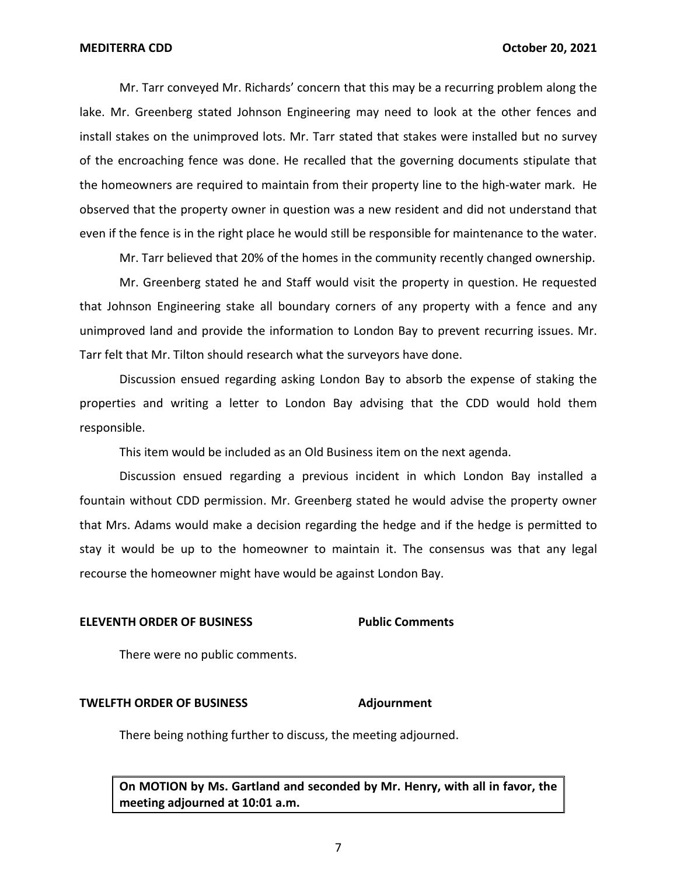**MEDITERRA CDD**<br>Mr. Tarr conveyed Mr. Richards' concern that this may be a recurring problem along the<br>Mr. Tarr conveyed Mr. Richards' concern that this may be a recurring problem along the lake. Mr. Greenberg stated Johnson Engineering may need to look at the other fences and install stakes on the unimproved lots. Mr. Tarr stated that stakes were installed but no survey of the encroaching fence was done. He recalled that the governing documents stipulate that the homeowners are required to maintain from their property line to the high-water mark. He observed that the property owner in question was a new resident and did not understand that even if the fence is in the right place he would still be responsible for maintenance to the water.

Mr. Tarr believed that 20% of the homes in the community recently changed ownership.

 Mr. Greenberg stated he and Staff would visit the property in question. He requested unimproved land and provide the information to London Bay to prevent recurring issues. Mr. Tarr felt that Mr. Tilton should research what the surveyors have done. that Johnson Engineering stake all boundary corners of any property with a fence and any

 Discussion ensued regarding asking London Bay to absorb the expense of staking the properties and writing a letter to London Bay advising that the CDD would hold them responsible.

This item would be included as an Old Business item on the next agenda.

 Discussion ensued regarding a previous incident in which London Bay installed a fountain without CDD permission. Mr. Greenberg stated he would advise the property owner that Mrs. Adams would make a decision regarding the hedge and if the hedge is permitted to stay it would be up to the homeowner to maintain it. The consensus was that any legal recourse the homeowner might have would be against London Bay.

### **ELEVENTH ORDER OF BUSINESS Public Comments**

There were no public comments.

#### **TWELFTH ORDER OF BUSINESS Adjournment**

There being nothing further to discuss, the meeting adjourned.

 **On MOTION by Ms. Gartland and seconded by Mr. Henry, with all in favor, the meeting adjourned at 10:01 a.m.**